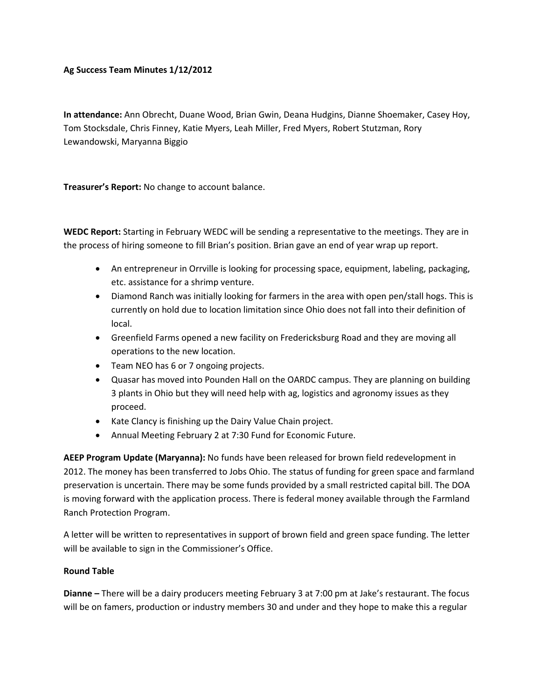## **Ag Success Team Minutes 1/12/2012**

**In attendance:** Ann Obrecht, Duane Wood, Brian Gwin, Deana Hudgins, Dianne Shoemaker, Casey Hoy, Tom Stocksdale, Chris Finney, Katie Myers, Leah Miller, Fred Myers, Robert Stutzman, Rory Lewandowski, Maryanna Biggio

**Treasurer's Report:** No change to account balance.

**WEDC Report:** Starting in February WEDC will be sending a representative to the meetings. They are in the process of hiring someone to fill Brian's position. Brian gave an end of year wrap up report.

- An entrepreneur in Orrville is looking for processing space, equipment, labeling, packaging, etc. assistance for a shrimp venture.
- Diamond Ranch was initially looking for farmers in the area with open pen/stall hogs. This is currently on hold due to location limitation since Ohio does not fall into their definition of local.
- Greenfield Farms opened a new facility on Fredericksburg Road and they are moving all operations to the new location.
- Team NEO has 6 or 7 ongoing projects.
- Quasar has moved into Pounden Hall on the OARDC campus. They are planning on building 3 plants in Ohio but they will need help with ag, logistics and agronomy issues as they proceed.
- Kate Clancy is finishing up the Dairy Value Chain project.
- Annual Meeting February 2 at 7:30 Fund for Economic Future.

**AEEP Program Update (Maryanna):** No funds have been released for brown field redevelopment in 2012. The money has been transferred to Jobs Ohio. The status of funding for green space and farmland preservation is uncertain. There may be some funds provided by a small restricted capital bill. The DOA is moving forward with the application process. There is federal money available through the Farmland Ranch Protection Program.

A letter will be written to representatives in support of brown field and green space funding. The letter will be available to sign in the Commissioner's Office.

## **Round Table**

**Dianne –** There will be a dairy producers meeting February 3 at 7:00 pm at Jake's restaurant. The focus will be on famers, production or industry members 30 and under and they hope to make this a regular